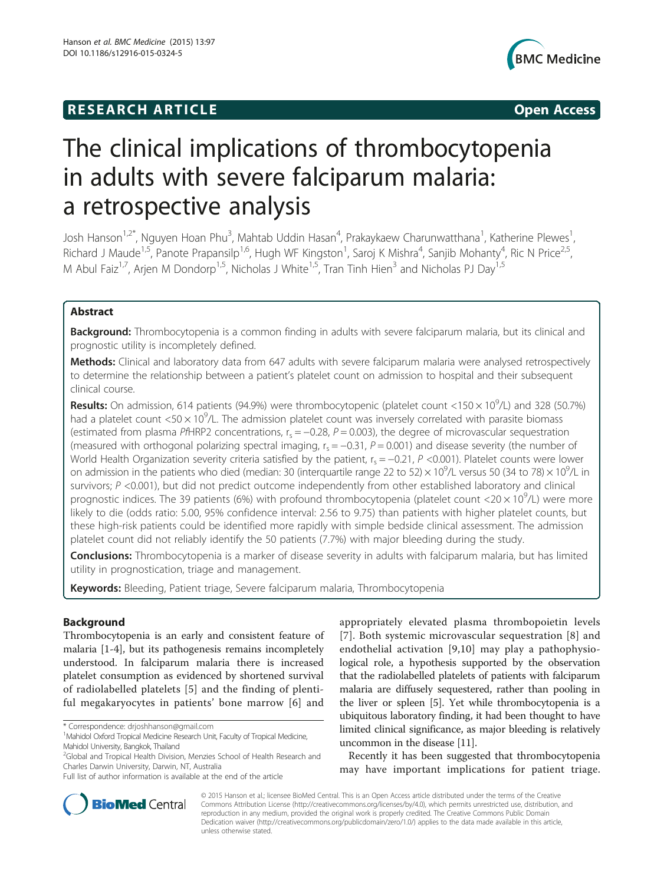## **RESEARCH ARTICLE Example 2014 CONSIDERING CONSIDERING CONSIDERING CONSIDERING CONSIDERING CONSIDERING CONSIDERING CONSIDERING CONSIDERING CONSIDERING CONSIDERING CONSIDERING CONSIDERING CONSIDERING CONSIDERING CONSIDE**



# The clinical implications of thrombocytopenia in adults with severe falciparum malaria: a retrospective analysis

Josh Hanson<sup>1,2\*</sup>, Nguyen Hoan Phu<sup>3</sup>, Mahtab Uddin Hasan<sup>4</sup>, Prakaykaew Charunwatthana<sup>1</sup>, Katherine Plewes<sup>1</sup> , Richard J Maude<sup>1,5</sup>, Panote Prapansilp<sup>1,6</sup>, Hugh WF Kingston<sup>1</sup>, Saroj K Mishra<sup>4</sup>, Sanjib Mohanty<sup>4</sup>, Ric N Price<sup>2,5</sup>, M Abul Faiz<sup>1,7</sup>, Arjen M Dondorp<sup>1,5</sup>, Nicholas J White<sup>1,5</sup>, Tran Tinh Hien<sup>3</sup> and Nicholas PJ Day<sup>1,5</sup>

## Abstract

Background: Thrombocytopenia is a common finding in adults with severe falciparum malaria, but its clinical and prognostic utility is incompletely defined.

Methods: Clinical and laboratory data from 647 adults with severe falciparum malaria were analysed retrospectively to determine the relationship between a patient's platelet count on admission to hospital and their subsequent clinical course.

Results: On admission, 614 patients (94.9%) were thrombocytopenic (platelet count <150 x 10<sup>9</sup>/L) and 328 (50.7%) had a platelet count <50  $\times$  10<sup>9</sup>/L. The admission platelet count was inversely correlated with parasite biomass (estimated from plasma PfHRP2 concentrations,  $r_s = -0.28$ ,  $P = 0.003$ ), the degree of microvascular sequestration (measured with orthogonal polarizing spectral imaging,  $r_s = -0.31$ ,  $P = 0.001$ ) and disease severity (the number of World Health Organization severity criteria satisfied by the patient,  $r_s = -0.21$ , P <0.001). Platelet counts were lower on admission in the patients who died (median: 30 (interquartile range 22 to 52)  $\times$  10<sup>9</sup>/L versus 50 (34 to 78)  $\times$  10<sup>9</sup>/L in survivors;  $P \le 0.001$ ), but did not predict outcome independently from other established laboratory and clinical prognostic indices. The 39 patients (6%) with profound thrombocytopenia (platelet count <20  $\times$  10<sup>9</sup>/L) were more likely to die (odds ratio: 5.00, 95% confidence interval: 2.56 to 9.75) than patients with higher platelet counts, but these high-risk patients could be identified more rapidly with simple bedside clinical assessment. The admission platelet count did not reliably identify the 50 patients (7.7%) with major bleeding during the study.

**Conclusions:** Thrombocytopenia is a marker of disease severity in adults with falciparum malaria, but has limited utility in prognostication, triage and management.

Keywords: Bleeding, Patient triage, Severe falciparum malaria, Thrombocytopenia

## Background

Thrombocytopenia is an early and consistent feature of malaria [[1-4\]](#page-7-0), but its pathogenesis remains incompletely understood. In falciparum malaria there is increased platelet consumption as evidenced by shortened survival of radiolabelled platelets [[5](#page-7-0)] and the finding of plentiful megakaryocytes in patients' bone marrow [\[6](#page-7-0)] and

\* Correspondence: [drjoshhanson@gmail.com](mailto:drjoshhanson@gmail.com) <sup>1</sup>

appropriately elevated plasma thrombopoietin levels [[7](#page-7-0)]. Both systemic microvascular sequestration [\[8\]](#page-7-0) and endothelial activation [[9,10](#page-7-0)] may play a pathophysiological role, a hypothesis supported by the observation that the radiolabelled platelets of patients with falciparum malaria are diffusely sequestered, rather than pooling in the liver or spleen [[5](#page-7-0)]. Yet while thrombocytopenia is a ubiquitous laboratory finding, it had been thought to have limited clinical significance, as major bleeding is relatively uncommon in the disease [\[11\]](#page-7-0).

Recently it has been suggested that thrombocytopenia may have important implications for patient triage.



© 2015 Hanson et al.; licensee BioMed Central. This is an Open Access article distributed under the terms of the Creative Commons Attribution License [\(http://creativecommons.org/licenses/by/4.0\)](http://creativecommons.org/licenses/by/4.0), which permits unrestricted use, distribution, and reproduction in any medium, provided the original work is properly credited. The Creative Commons Public Domain Dedication waiver [\(http://creativecommons.org/publicdomain/zero/1.0/](http://creativecommons.org/publicdomain/zero/1.0/)) applies to the data made available in this article, unless otherwise stated.

<sup>&</sup>lt;sup>1</sup> Mahidol Oxford Tropical Medicine Research Unit, Faculty of Tropical Medicine, Mahidol University, Bangkok, Thailand

<sup>&</sup>lt;sup>2</sup>Global and Tropical Health Division, Menzies School of Health Research and Charles Darwin University, Darwin, NT, Australia

Full list of author information is available at the end of the article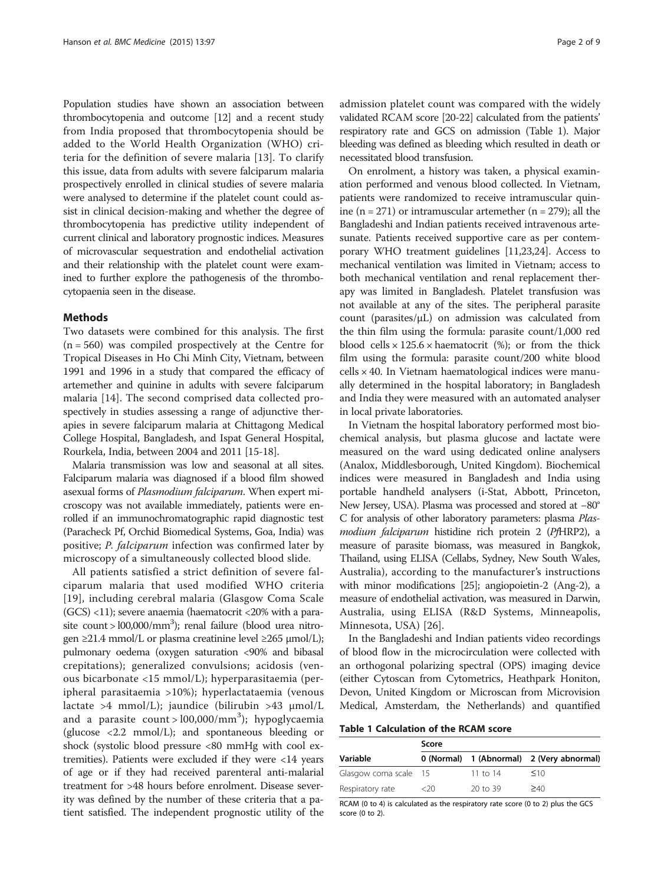Population studies have shown an association between thrombocytopenia and outcome [\[12](#page-7-0)] and a recent study from India proposed that thrombocytopenia should be added to the World Health Organization (WHO) criteria for the definition of severe malaria [\[13](#page-8-0)]. To clarify this issue, data from adults with severe falciparum malaria prospectively enrolled in clinical studies of severe malaria were analysed to determine if the platelet count could assist in clinical decision-making and whether the degree of thrombocytopenia has predictive utility independent of current clinical and laboratory prognostic indices. Measures of microvascular sequestration and endothelial activation and their relationship with the platelet count were examined to further explore the pathogenesis of the thrombocytopaenia seen in the disease.

#### Methods

Two datasets were combined for this analysis. The first  $(n = 560)$  was compiled prospectively at the Centre for Tropical Diseases in Ho Chi Minh City, Vietnam, between 1991 and 1996 in a study that compared the efficacy of artemether and quinine in adults with severe falciparum malaria [[14](#page-8-0)]. The second comprised data collected prospectively in studies assessing a range of adjunctive therapies in severe falciparum malaria at Chittagong Medical College Hospital, Bangladesh, and Ispat General Hospital, Rourkela, India, between 2004 and 2011 [[15](#page-8-0)-[18](#page-8-0)].

Malaria transmission was low and seasonal at all sites. Falciparum malaria was diagnosed if a blood film showed asexual forms of Plasmodium falciparum. When expert microscopy was not available immediately, patients were enrolled if an immunochromatographic rapid diagnostic test (Paracheck Pf, Orchid Biomedical Systems, Goa, India) was positive; P. falciparum infection was confirmed later by microscopy of a simultaneously collected blood slide.

All patients satisfied a strict definition of severe falciparum malaria that used modified WHO criteria [[19](#page-8-0)], including cerebral malaria (Glasgow Coma Scale  $(GCS)$  <11); severe anaemia (haematocrit <20% with a parasite count > 100,000/mm<sup>3</sup>); renal failure (blood urea nitrogen  $\geq$ 21.4 mmol/L or plasma creatinine level  $\geq$ 265  $\mu$ mol/L); pulmonary oedema (oxygen saturation <90% and bibasal crepitations); generalized convulsions; acidosis (venous bicarbonate <15 mmol/L); hyperparasitaemia (peripheral parasitaemia >10%); hyperlactataemia (venous lactate  $>4$  mmol/L); jaundice (bilirubin  $>43$  µmol/L and a parasite count > 100,000/mm<sup>3</sup>); hypoglycaemia (glucose <2.2 mmol/L); and spontaneous bleeding or shock (systolic blood pressure <80 mmHg with cool extremities). Patients were excluded if they were <14 years of age or if they had received parenteral anti-malarial treatment for >48 hours before enrolment. Disease severity was defined by the number of these criteria that a patient satisfied. The independent prognostic utility of the admission platelet count was compared with the widely validated RCAM score [\[20-22\]](#page-8-0) calculated from the patients' respiratory rate and GCS on admission (Table 1). Major bleeding was defined as bleeding which resulted in death or necessitated blood transfusion.

On enrolment, a history was taken, a physical examination performed and venous blood collected. In Vietnam, patients were randomized to receive intramuscular quinine (n = 271) or intramuscular artemether (n = 279); all the Bangladeshi and Indian patients received intravenous artesunate. Patients received supportive care as per contemporary WHO treatment guidelines [\[11,](#page-7-0)[23,24](#page-8-0)]. Access to mechanical ventilation was limited in Vietnam; access to both mechanical ventilation and renal replacement therapy was limited in Bangladesh. Platelet transfusion was not available at any of the sites. The peripheral parasite count (parasites/μL) on admission was calculated from the thin film using the formula: parasite count/1,000 red blood cells  $\times$  125.6  $\times$  haematocrit (%); or from the thick film using the formula: parasite count/200 white blood cells × 40. In Vietnam haematological indices were manually determined in the hospital laboratory; in Bangladesh and India they were measured with an automated analyser in local private laboratories.

In Vietnam the hospital laboratory performed most biochemical analysis, but plasma glucose and lactate were measured on the ward using dedicated online analysers (Analox, Middlesborough, United Kingdom). Biochemical indices were measured in Bangladesh and India using portable handheld analysers (i-Stat, Abbott, Princeton, New Jersey, USA). Plasma was processed and stored at −80° C for analysis of other laboratory parameters: plasma Plasmodium falciparum histidine rich protein 2 (PfHRP2), a measure of parasite biomass, was measured in Bangkok, Thailand, using ELISA (Cellabs, Sydney, New South Wales, Australia), according to the manufacturer's instructions with minor modifications [\[25\]](#page-8-0); angiopoietin-2 (Ang-2), a measure of endothelial activation, was measured in Darwin, Australia, using ELISA (R&D Systems, Minneapolis, Minnesota, USA) [\[26](#page-8-0)].

In the Bangladeshi and Indian patients video recordings of blood flow in the microcirculation were collected with an orthogonal polarizing spectral (OPS) imaging device (either Cytoscan from Cytometrics, Heathpark Honiton, Devon, United Kingdom or Microscan from Microvision Medical, Amsterdam, the Netherlands) and quantified

Table 1 Calculation of the RCAM score

|                       | Score |            |                                           |  |  |
|-----------------------|-------|------------|-------------------------------------------|--|--|
| Variable              |       |            | 0 (Normal) 1 (Abnormal) 2 (Very abnormal) |  |  |
| Glasgow coma scale 15 |       | 11 to $14$ | $\leq 10$                                 |  |  |
| Respiratory rate      | <20   | 20 to 39   | >40                                       |  |  |

RCAM (0 to 4) is calculated as the respiratory rate score (0 to 2) plus the GCS score (0 to 2).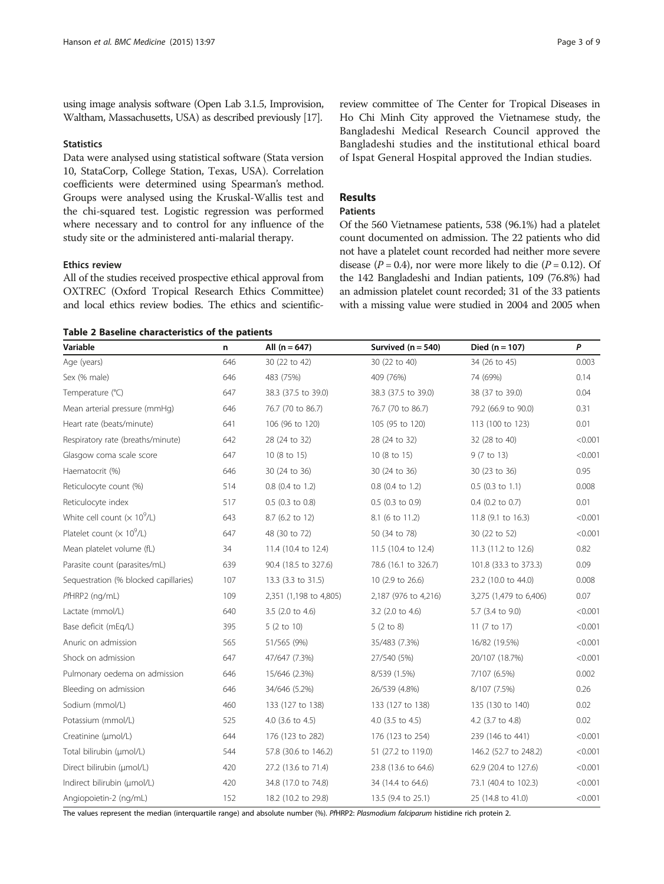<span id="page-2-0"></span>using image analysis software (Open Lab 3.1.5, Improvision, Waltham, Massachusetts, USA) as described previously [\[17](#page-8-0)].

## **Statistics**

Data were analysed using statistical software (Stata version 10, StataCorp, College Station, Texas, USA). Correlation coefficients were determined using Spearman's method. Groups were analysed using the Kruskal-Wallis test and the chi-squared test. Logistic regression was performed where necessary and to control for any influence of the study site or the administered anti-malarial therapy.

#### Ethics review

All of the studies received prospective ethical approval from OXTREC (Oxford Tropical Research Ethics Committee) and local ethics review bodies. The ethics and scientific-

|  |  | Table 2 Baseline characteristics of the patients |  |  |
|--|--|--------------------------------------------------|--|--|
|--|--|--------------------------------------------------|--|--|

review committee of The Center for Tropical Diseases in Ho Chi Minh City approved the Vietnamese study, the Bangladeshi Medical Research Council approved the Bangladeshi studies and the institutional ethical board of Ispat General Hospital approved the Indian studies.

## Results

## Patients

Of the 560 Vietnamese patients, 538 (96.1%) had a platelet count documented on admission. The 22 patients who did not have a platelet count recorded had neither more severe disease ( $P = 0.4$ ), nor were more likely to die ( $P = 0.12$ ). Of the 142 Bangladeshi and Indian patients, 109 (76.8%) had an admission platelet count recorded; 31 of the 33 patients with a missing value were studied in 2004 and 2005 when

| Variable                                      | n   | All $(n = 647)$        | Survived $(n = 540)$        | Died $(n = 107)$       | P       |
|-----------------------------------------------|-----|------------------------|-----------------------------|------------------------|---------|
| Age (years)                                   | 646 | 30 (22 to 42)          | 30 (22 to 40)               | 34 (26 to 45)          | 0.003   |
| Sex (% male)                                  | 646 | 483 (75%)              | 409 (76%)                   | 74 (69%)               | 0.14    |
| Temperature (°C)                              | 647 | 38.3 (37.5 to 39.0)    | 38.3 (37.5 to 39.0)         | 38 (37 to 39.0)        | 0.04    |
| Mean arterial pressure (mmHg)                 | 646 | 76.7 (70 to 86.7)      | 76.7 (70 to 86.7)           | 79.2 (66.9 to 90.0)    | 0.31    |
| Heart rate (beats/minute)                     | 641 | 106 (96 to 120)        | 105 (95 to 120)             | 113 (100 to 123)       | 0.01    |
| Respiratory rate (breaths/minute)             | 642 | 28 (24 to 32)          | 28 (24 to 32)               | 32 (28 to 40)          | < 0.001 |
| Glasgow coma scale score                      | 647 | 10 (8 to 15)           | 10 (8 to 15)                | 9 (7 to 13)            | < 0.001 |
| Haematocrit (%)                               | 646 | 30 (24 to 36)          | 30 (24 to 36)               | 30 (23 to 36)          | 0.95    |
| Reticulocyte count (%)                        | 514 | 0.8 (0.4 to 1.2)       | $0.8$ (0.4 to 1.2)          | $0.5$ (0.3 to 1.1)     | 0.008   |
| Reticulocyte index                            | 517 | $0.5$ (0.3 to 0.8)     | $0.5$ (0.3 to 0.9)          | $0.4$ (0.2 to 0.7)     | 0.01    |
| White cell count $(x 10^9/L)$                 | 643 | 8.7 (6.2 to 12)        | 8.1 (6 to 11.2)             | 11.8 (9.1 to 16.3)     | < 0.001 |
| Platelet count ( $\times$ 10 <sup>9</sup> /L) | 647 | 48 (30 to 72)          | 50 (34 to 78)               | 30 (22 to 52)          | < 0.001 |
| Mean platelet volume (fL)                     | 34  | 11.4 (10.4 to 12.4)    | 11.5 (10.4 to 12.4)         | 11.3 (11.2 to 12.6)    | 0.82    |
| Parasite count (parasites/mL)                 | 639 | 90.4 (18.5 to 327.6)   | 78.6 (16.1 to 326.7)        | 101.8 (33.3 to 373.3)  | 0.09    |
| Sequestration (% blocked capillaries)         | 107 | 13.3 (3.3 to 31.5)     | 10 (2.9 to 26.6)            | 23.2 (10.0 to 44.0)    | 0.008   |
| PfHRP2 (ng/mL)                                | 109 | 2,351 (1,198 to 4,805) | 2,187 (976 to 4,216)        | 3,275 (1,479 to 6,406) | 0.07    |
| Lactate (mmol/L)                              | 640 | 3.5 (2.0 to 4.6)       | 3.2 (2.0 to 4.6)            | 5.7 (3.4 to 9.0)       | < 0.001 |
| Base deficit (mEq/L)                          | 395 | 5(2 to 10)             | $5(2 \text{ to } 8)$        | 11 (7 to 17)           | < 0.001 |
| Anuric on admission                           | 565 | 51/565 (9%)            | 35/483 (7.3%)               | 16/82 (19.5%)          | < 0.001 |
| Shock on admission                            | 647 | 47/647 (7.3%)          | 27/540 (5%)                 | 20/107 (18.7%)         | < 0.001 |
| Pulmonary oedema on admission                 | 646 | 15/646 (2.3%)          | 8/539 (1.5%)                | 7/107 (6.5%)           | 0.002   |
| Bleeding on admission                         | 646 | 34/646 (5.2%)          | 26/539 (4.8%)               | 8/107 (7.5%)           | 0.26    |
| Sodium (mmol/L)                               | 460 | 133 (127 to 138)       | 133 (127 to 138)            | 135 (130 to 140)       | 0.02    |
| Potassium (mmol/L)                            | 525 | 4.0 (3.6 to 4.5)       | 4.0 $(3.5 \text{ to } 4.5)$ | 4.2 (3.7 to 4.8)       | 0.02    |
| Creatinine (µmol/L)                           | 644 | 176 (123 to 282)       | 176 (123 to 254)            | 239 (146 to 441)       | < 0.001 |
| Total bilirubin (µmol/L)                      | 544 | 57.8 (30.6 to 146.2)   | 51 (27.2 to 119.0)          | 146.2 (52.7 to 248.2)  | < 0.001 |
| Direct bilirubin (µmol/L)                     | 420 | 27.2 (13.6 to 71.4)    | 23.8 (13.6 to 64.6)         | 62.9 (20.4 to 127.6)   | < 0.001 |
| Indirect bilirubin (µmol/L)                   | 420 | 34.8 (17.0 to 74.8)    | 34 (14.4 to 64.6)           | 73.1 (40.4 to 102.3)   | < 0.001 |
| Angiopoietin-2 (ng/mL)                        | 152 | 18.2 (10.2 to 29.8)    | 13.5 (9.4 to 25.1)          | 25 (14.8 to 41.0)      | < 0.001 |

The values represent the median (interquartile range) and absolute number (%). PfHRP2: Plasmodium falciparum histidine rich protein 2.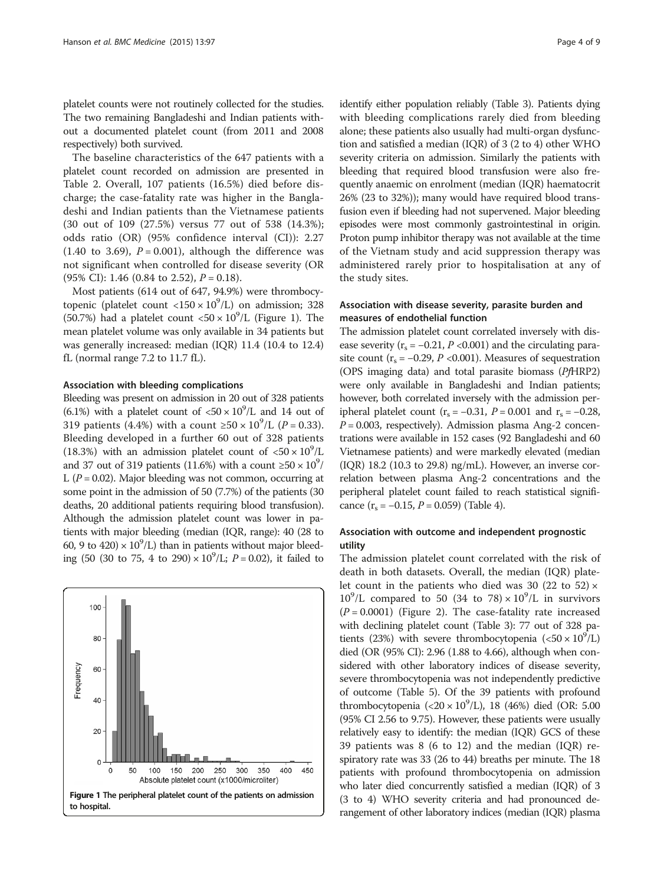platelet counts were not routinely collected for the studies. The two remaining Bangladeshi and Indian patients without a documented platelet count (from 2011 and 2008 respectively) both survived.

The baseline characteristics of the 647 patients with a platelet count recorded on admission are presented in Table [2](#page-2-0). Overall, 107 patients (16.5%) died before discharge; the case-fatality rate was higher in the Bangladeshi and Indian patients than the Vietnamese patients (30 out of 109 (27.5%) versus 77 out of 538 (14.3%); odds ratio (OR) (95% confidence interval (CI)): 2.27 (1.40 to 3.69),  $P = 0.001$ ), although the difference was not significant when controlled for disease severity (OR (95% CI): 1.46 (0.84 to 2.52),  $P = 0.18$ ).

Most patients (614 out of 647, 94.9%) were thrombocytopenic (platelet count <150  $\times$  10<sup>9</sup>/L) on admission; 328 (50.7%) had a platelet count  $<$  50  $\times$  10<sup>9</sup>/L (Figure 1). The mean platelet volume was only available in 34 patients but was generally increased: median (IQR) 11.4 (10.4 to 12.4) fL (normal range 7.2 to 11.7 fL).

#### Association with bleeding complications

Bleeding was present on admission in 20 out of 328 patients (6.1%) with a platelet count of  $\langle 50 \times 10^9 \rangle$  and 14 out of 319 patients (4.4%) with a count ≥50 ×  $10^9$ /L (*P* = 0.33). Bleeding developed in a further 60 out of 328 patients (18.3%) with an admission platelet count of  $\langle 50 \times 10^9 \rangle$ L and 37 out of 319 patients (11.6%) with a count  $\geq 50 \times 10^9/$ L ( $P = 0.02$ ). Major bleeding was not common, occurring at some point in the admission of 50 (7.7%) of the patients (30 deaths, 20 additional patients requiring blood transfusion). Although the admission platelet count was lower in patients with major bleeding (median (IQR, range): 40 (28 to 60, 9 to 420)  $\times$  10<sup>9</sup>/L) than in patients without major bleeding (50 (30 to 75, 4 to 290)  $\times 10^9$ /L;  $P = 0.02$ ), it failed to



identify either population reliably (Table [3\)](#page-4-0). Patients dying with bleeding complications rarely died from bleeding alone; these patients also usually had multi-organ dysfunction and satisfied a median (IQR) of 3 (2 to 4) other WHO severity criteria on admission. Similarly the patients with bleeding that required blood transfusion were also frequently anaemic on enrolment (median (IQR) haematocrit 26% (23 to 32%)); many would have required blood transfusion even if bleeding had not supervened. Major bleeding episodes were most commonly gastrointestinal in origin. Proton pump inhibitor therapy was not available at the time of the Vietnam study and acid suppression therapy was administered rarely prior to hospitalisation at any of the study sites.

## Association with disease severity, parasite burden and measures of endothelial function

The admission platelet count correlated inversely with disease severity ( $r_s = -0.21$ ,  $P < 0.001$ ) and the circulating parasite count ( $r_s = -0.29$ ,  $P < 0.001$ ). Measures of sequestration (OPS imaging data) and total parasite biomass (PfHRP2) were only available in Bangladeshi and Indian patients; however, both correlated inversely with the admission peripheral platelet count ( $r_s = -0.31$ ,  $P = 0.001$  and  $r_s = -0.28$ ,  $P = 0.003$ , respectively). Admission plasma Ang-2 concentrations were available in 152 cases (92 Bangladeshi and 60 Vietnamese patients) and were markedly elevated (median (IQR) 18.2 (10.3 to 29.8) ng/mL). However, an inverse correlation between plasma Ang-2 concentrations and the peripheral platelet count failed to reach statistical significance  $(r_s = -0.15, P = 0.059)$  (Table [4](#page-4-0)).

## Association with outcome and independent prognostic utility

The admission platelet count correlated with the risk of death in both datasets. Overall, the median (IQR) platelet count in the patients who died was 30 (22 to 52)  $\times$  $10^9$ /L compared to 50 (34 to 78)  $\times 10^9$ /L in survivors  $(P = 0.0001)$  (Figure [2](#page-5-0)). The case-fatality rate increased with declining platelet count (Table [3](#page-4-0)): 77 out of 328 patients (23%) with severe thrombocytopenia ( $\langle 50 \times 10^9 / L \rangle$ died (OR (95% CI): 2.96 (1.88 to 4.66), although when considered with other laboratory indices of disease severity, severe thrombocytopenia was not independently predictive of outcome (Table [5\)](#page-5-0). Of the 39 patients with profound thrombocytopenia (<20 ×  $10^9$ /L), 18 (46%) died (OR: 5.00 (95% CI 2.56 to 9.75). However, these patients were usually relatively easy to identify: the median (IQR) GCS of these 39 patients was 8 (6 to 12) and the median (IQR) respiratory rate was 33 (26 to 44) breaths per minute. The 18 patients with profound thrombocytopenia on admission who later died concurrently satisfied a median (IQR) of 3 (3 to 4) WHO severity criteria and had pronounced derangement of other laboratory indices (median (IQR) plasma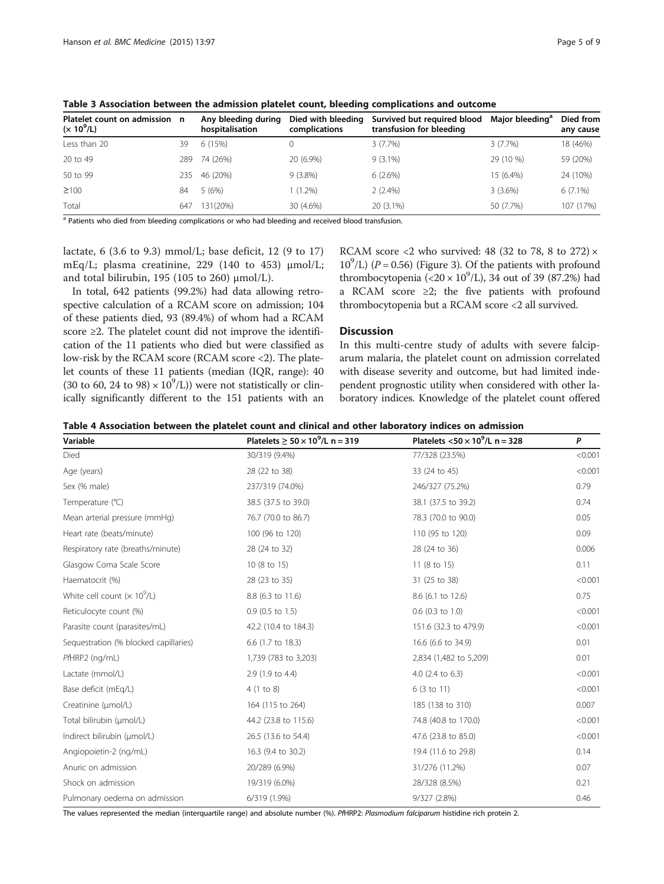|  |  | raye J |  |
|--|--|--------|--|
|  |  |        |  |

| Platelet count on admission n<br>$(x 10^9/L)$ |     | Any bleeding during<br>hospitalisation | Died with bleeding<br>complications | Survived but required blood<br>transfusion for bleeding | Maior bleeding <sup>a</sup> | Died from<br>any cause |
|-----------------------------------------------|-----|----------------------------------------|-------------------------------------|---------------------------------------------------------|-----------------------------|------------------------|
| Less than 20                                  | 39  | 6(15%)                                 |                                     | 3(7.7%)                                                 | 3(7.7%)                     | 18 (46%)               |
| 20 to 49                                      | 289 | 74 (26%)                               | 20 (6.9%)                           | $9(3.1\%)$                                              | 29 (10 %)                   | 59 (20%)               |
| 50 to 99                                      | 235 | 46 (20%)                               | $9(3.8\%)$                          | 6(2.6%)                                                 | 15 (6.4%)                   | 24 (10%)               |
| $\geq 100$                                    | 84  | 5(6%)                                  | $1(1.2\%)$                          | $2(2.4\%)$                                              | $3(3.6\%)$                  | $6(7.1\%)$             |
| Total                                         | 647 | 131(20%)                               | 30 (4.6%)                           | $20(3.1\%)$                                             | 50 (7.7%)                   | 107 (17%)              |

<span id="page-4-0"></span>Table 3 Association between the admission platelet count, bleeding complications and outcome

<sup>a</sup> Patients who died from bleeding complications or who had bleeding and received blood transfusion.

lactate, 6 (3.6 to 9.3) mmol/L; base deficit, 12 (9 to 17) mEq/L; plasma creatinine, 229 (140 to 453) μmol/L; and total bilirubin, 195 (105 to 260) μmol/L).

In total, 642 patients (99.2%) had data allowing retrospective calculation of a RCAM score on admission; 104 of these patients died, 93 (89.4%) of whom had a RCAM score ≥2. The platelet count did not improve the identification of the 11 patients who died but were classified as low-risk by the RCAM score (RCAM score <2). The platelet counts of these 11 patients (median (IQR, range): 40 (30 to 60, 24 to 98)  $\times$  10<sup>9</sup>/L)) were not statistically or clinically significantly different to the 151 patients with an

RCAM score <2 who survived: 48 (32 to 78, 8 to 272)  $\times$  $10^9$ /L) (P = 0.56) (Figure [3](#page-6-0)). Of the patients with profound thrombocytopenia (<20 ×  $10^{9}$ /L), 34 out of 39 (87.2%) had a RCAM score ≥2; the five patients with profound thrombocytopenia but a RCAM score <2 all survived.

## **Discussion**

In this multi-centre study of adults with severe falciparum malaria, the platelet count on admission correlated with disease severity and outcome, but had limited independent prognostic utility when considered with other laboratory indices. Knowledge of the platelet count offered

| Table 4 Association between the platelet count and clinical and other laboratory indices on admission |  |  |  |
|-------------------------------------------------------------------------------------------------------|--|--|--|
|-------------------------------------------------------------------------------------------------------|--|--|--|

| Variable                                        | Platelets $> 50 \times 10^9$ /L n = 319 | Platelets $<$ 50 $\times$ 10 <sup>9</sup> /L n = 328 | P       |
|-------------------------------------------------|-----------------------------------------|------------------------------------------------------|---------|
| Died                                            | 30/319 (9.4%)                           | 77/328 (23.5%)                                       | < 0.001 |
| Age (years)                                     | 28 (22 to 38)                           | 33 (24 to 45)                                        | < 0.001 |
| Sex (% male)                                    | 237/319 (74.0%)                         | 246/327 (75.2%)                                      | 0.79    |
| Temperature (°C)                                | 38.5 (37.5 to 39.0)                     | 38.1 (37.5 to 39.2)                                  | 0.74    |
| Mean arterial pressure (mmHg)                   | 76.7 (70.0 to 86.7)                     | 78.3 (70.0 to 90.0)                                  | 0.05    |
| Heart rate (beats/minute)                       | 100 (96 to 120)                         | 110 (95 to 120)                                      | 0.09    |
| Respiratory rate (breaths/minute)               | 28 (24 to 32)                           | 28 (24 to 36)                                        | 0.006   |
| Glasgow Coma Scale Score                        | 10 (8 to 15)                            | 11 (8 to 15)                                         | 0.11    |
| Haematocrit (%)                                 | 28 (23 to 35)                           | 31 (25 to 38)                                        | < 0.001 |
| White cell count ( $\times$ 10 <sup>9</sup> /L) | 8.8 (6.3 to 11.6)                       | 8.6 (6.1 to 12.6)                                    | 0.75    |
| Reticulocyte count (%)                          | $0.9$ (0.5 to 1.5)                      | $0.6$ (0.3 to 1.0)                                   | < 0.001 |
| Parasite count (parasites/mL)                   | 42.2 (10.4 to 184.3)                    | 151.6 (32.3 to 479.9)                                | < 0.001 |
| Sequestration (% blocked capillaries)           | 6.6 (1.7 to 18.3)                       | 16.6 (6.6 to 34.9)                                   | 0.01    |
| $PHRP2$ (ng/mL)                                 | 1,739 (783 to 3,203)                    | 2,834 (1,482 to 5,209)                               | 0.01    |
| Lactate (mmol/L)                                | 2.9 (1.9 to 4.4)                        | 4.0 (2.4 to 6.3)                                     | < 0.001 |
| Base deficit (mEq/L)                            | 4(1 to 8)                               | 6(3 to 11)                                           | < 0.001 |
| Creatinine (µmol/L)                             | 164 (115 to 264)                        | 185 (138 to 310)                                     | 0.007   |
| Total bilirubin (umol/L)                        | 44.2 (23.8 to 115.6)                    | 74.8 (40.8 to 170.0)                                 | < 0.001 |
| Indirect bilirubin (µmol/L)                     | 26.5 (13.6 to 54.4)                     | 47.6 (23.8 to 85.0)                                  | < 0.001 |
| Angiopoietin-2 (ng/mL)                          | 16.3 (9.4 to 30.2)                      | 19.4 (11.6 to 29.8)                                  | 0.14    |
| Anuric on admission                             | 20/289 (6.9%)                           | 31/276 (11.2%)                                       | 0.07    |
| Shock on admission                              | 19/319 (6.0%)                           | 28/328 (8.5%)                                        | 0.21    |
| Pulmonary oedema on admission                   | 6/319 (1.9%)                            | 9/327 (2.8%)                                         | 0.46    |

The values represented the median (interquartile range) and absolute number (%). PfHRP2: Plasmodium falciparum histidine rich protein 2.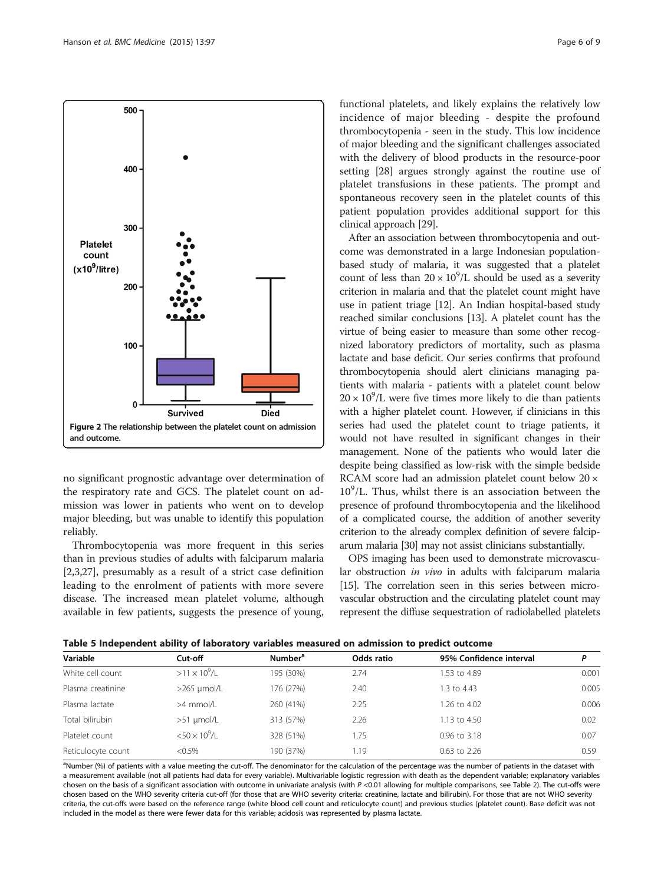<span id="page-5-0"></span>

no significant prognostic advantage over determination of the respiratory rate and GCS. The platelet count on admission was lower in patients who went on to develop major bleeding, but was unable to identify this population reliably.

Thrombocytopenia was more frequent in this series than in previous studies of adults with falciparum malaria [[2,3](#page-7-0),[27](#page-8-0)], presumably as a result of a strict case definition leading to the enrolment of patients with more severe disease. The increased mean platelet volume, although available in few patients, suggests the presence of young, functional platelets, and likely explains the relatively low incidence of major bleeding - despite the profound thrombocytopenia - seen in the study. This low incidence of major bleeding and the significant challenges associated with the delivery of blood products in the resource-poor setting [[28](#page-8-0)] argues strongly against the routine use of platelet transfusions in these patients. The prompt and spontaneous recovery seen in the platelet counts of this patient population provides additional support for this clinical approach [\[29\]](#page-8-0).

After an association between thrombocytopenia and outcome was demonstrated in a large Indonesian populationbased study of malaria, it was suggested that a platelet count of less than  $20 \times 10^9$ /L should be used as a severity criterion in malaria and that the platelet count might have use in patient triage [\[12\]](#page-7-0). An Indian hospital-based study reached similar conclusions [\[13\]](#page-8-0). A platelet count has the virtue of being easier to measure than some other recognized laboratory predictors of mortality, such as plasma lactate and base deficit. Our series confirms that profound thrombocytopenia should alert clinicians managing patients with malaria - patients with a platelet count below  $20 \times 10^9$ /L were five times more likely to die than patients with a higher platelet count. However, if clinicians in this series had used the platelet count to triage patients, it would not have resulted in significant changes in their management. None of the patients who would later die despite being classified as low-risk with the simple bedside RCAM score had an admission platelet count below 20 × 10<sup>9</sup>/L. Thus, whilst there is an association between the presence of profound thrombocytopenia and the likelihood of a complicated course, the addition of another severity criterion to the already complex definition of severe falciparum malaria [[30](#page-8-0)] may not assist clinicians substantially.

OPS imaging has been used to demonstrate microvascular obstruction in vivo in adults with falciparum malaria [[15](#page-8-0)]. The correlation seen in this series between microvascular obstruction and the circulating platelet count may represent the diffuse sequestration of radiolabelled platelets

| Variable           | Cut-off                            | Number <sup>a</sup> | Odds ratio | 95% Confidence interval | P     |
|--------------------|------------------------------------|---------------------|------------|-------------------------|-------|
| White cell count   | $>11 \times 10^9$ /L               | 195 (30%)           | 2.74       | 1.53 to 4.89            | 0.001 |
| Plasma creatinine  | $>265$ µmol/L                      | 176 (27%)           | 2.40       | 1.3 to 4.43             | 0.005 |
| Plasma lactate     | >4 mmol/L                          | 260 (41%)           | 2.25       | 1.26 to 4.02            | 0.006 |
| Total bilirubin    | $>51$ µmol/L                       | 313 (57%)           | 2.26       | 1.13 to 4.50            | 0.02  |
| Platelet count     | $<$ 50 $\times$ 10 <sup>9</sup> /L | 328 (51%)           | .75        | 0.96 to 3.18            | 0.07  |
| Reticulocyte count | $< 0.5\%$                          | 190 (37%)           | 1.19       | $0.63$ to 2.26          | 0.59  |
|                    |                                    |                     |            |                         |       |

<sup>a</sup>Number (%) of patients with a value meeting the cut-off. The denominator for the calculation of the percentage was the number of patients in the dataset with a measurement available (not all patients had data for every variable). Multivariable logistic regression with death as the dependent variable; explanatory variables chosen on the basis of a significant association with outcome in univariate analysis (with P <0.01 allowing for multiple comparisons, see Table [2\)](#page-2-0). The cut-offs were chosen based on the WHO severity criteria cut-off (for those that are WHO severity criteria: creatinine, lactate and bilirubin). For those that are not WHO severity criteria, the cut-offs were based on the reference range (white blood cell count and reticulocyte count) and previous studies (platelet count). Base deficit was not included in the model as there were fewer data for this variable; acidosis was represented by plasma lactate.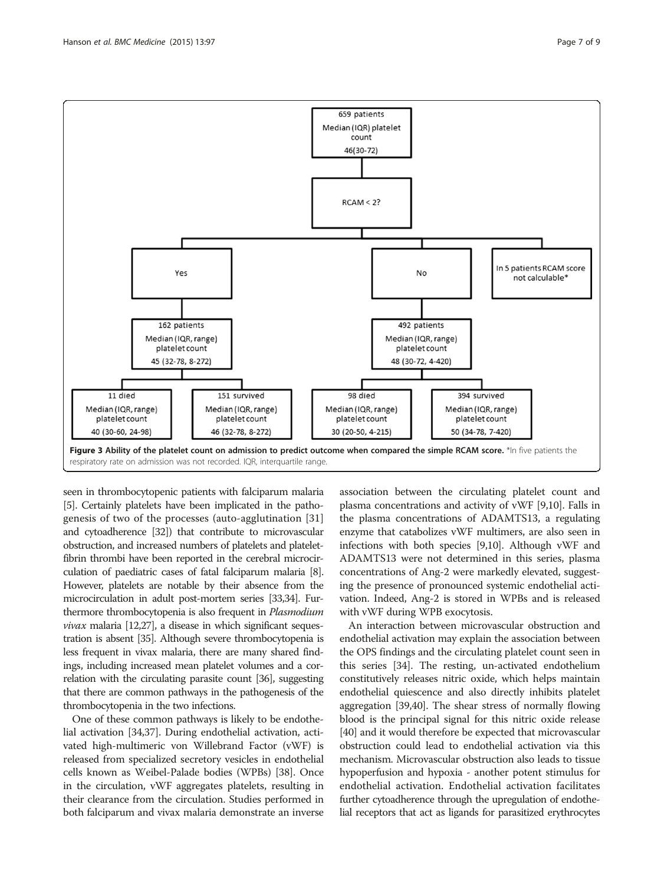<span id="page-6-0"></span>

seen in thrombocytopenic patients with falciparum malaria [[5](#page-7-0)]. Certainly platelets have been implicated in the pathogenesis of two of the processes (auto-agglutination [\[31](#page-8-0)] and cytoadherence [\[32](#page-8-0)]) that contribute to microvascular obstruction, and increased numbers of platelets and plateletfibrin thrombi have been reported in the cerebral microcirculation of paediatric cases of fatal falciparum malaria [\[8](#page-7-0)]. However, platelets are notable by their absence from the microcirculation in adult post-mortem series [\[33,34\]](#page-8-0). Furthermore thrombocytopenia is also frequent in Plasmodium  $vivax$  malaria [\[12](#page-7-0)[,27\]](#page-8-0), a disease in which significant sequestration is absent [\[35](#page-8-0)]. Although severe thrombocytopenia is less frequent in vivax malaria, there are many shared findings, including increased mean platelet volumes and a correlation with the circulating parasite count [\[36\]](#page-8-0), suggesting that there are common pathways in the pathogenesis of the thrombocytopenia in the two infections.

One of these common pathways is likely to be endothelial activation [[34,37](#page-8-0)]. During endothelial activation, activated high-multimeric von Willebrand Factor (vWF) is released from specialized secretory vesicles in endothelial cells known as Weibel-Palade bodies (WPBs) [\[38\]](#page-8-0). Once in the circulation, vWF aggregates platelets, resulting in their clearance from the circulation. Studies performed in both falciparum and vivax malaria demonstrate an inverse

association between the circulating platelet count and plasma concentrations and activity of vWF [[9,10](#page-7-0)]. Falls in the plasma concentrations of ADAMTS13, a regulating enzyme that catabolizes vWF multimers, are also seen in infections with both species [\[9,10\]](#page-7-0). Although vWF and ADAMTS13 were not determined in this series, plasma concentrations of Ang-2 were markedly elevated, suggesting the presence of pronounced systemic endothelial activation. Indeed, Ang-2 is stored in WPBs and is released with vWF during WPB exocytosis.

An interaction between microvascular obstruction and endothelial activation may explain the association between the OPS findings and the circulating platelet count seen in this series [[34](#page-8-0)]. The resting, un-activated endothelium constitutively releases nitric oxide, which helps maintain endothelial quiescence and also directly inhibits platelet aggregation [[39,40](#page-8-0)]. The shear stress of normally flowing blood is the principal signal for this nitric oxide release [[40](#page-8-0)] and it would therefore be expected that microvascular obstruction could lead to endothelial activation via this mechanism. Microvascular obstruction also leads to tissue hypoperfusion and hypoxia - another potent stimulus for endothelial activation. Endothelial activation facilitates further cytoadherence through the upregulation of endothelial receptors that act as ligands for parasitized erythrocytes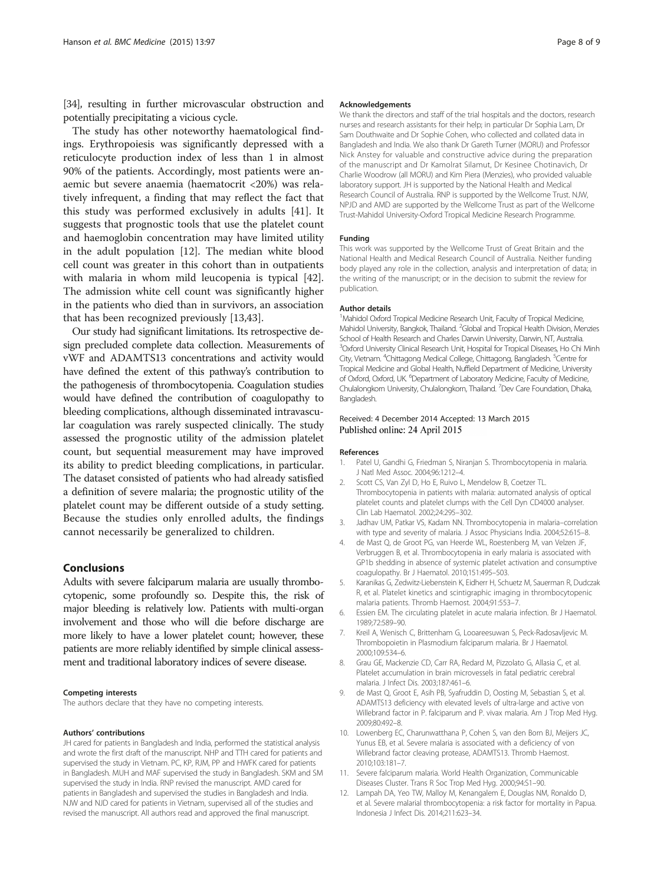<span id="page-7-0"></span>[[34\]](#page-8-0), resulting in further microvascular obstruction and potentially precipitating a vicious cycle.

The study has other noteworthy haematological findings. Erythropoiesis was significantly depressed with a reticulocyte production index of less than 1 in almost 90% of the patients. Accordingly, most patients were anaemic but severe anaemia (haematocrit <20%) was relatively infrequent, a finding that may reflect the fact that this study was performed exclusively in adults [\[41\]](#page-8-0). It suggests that prognostic tools that use the platelet count and haemoglobin concentration may have limited utility in the adult population [12]. The median white blood cell count was greater in this cohort than in outpatients with malaria in whom mild leucopenia is typical [\[42](#page-8-0)]. The admission white cell count was significantly higher in the patients who died than in survivors, an association that has been recognized previously [\[13,43](#page-8-0)].

Our study had significant limitations. Its retrospective design precluded complete data collection. Measurements of vWF and ADAMTS13 concentrations and activity would have defined the extent of this pathway's contribution to the pathogenesis of thrombocytopenia. Coagulation studies would have defined the contribution of coagulopathy to bleeding complications, although disseminated intravascular coagulation was rarely suspected clinically. The study assessed the prognostic utility of the admission platelet count, but sequential measurement may have improved its ability to predict bleeding complications, in particular. The dataset consisted of patients who had already satisfied a definition of severe malaria; the prognostic utility of the platelet count may be different outside of a study setting. Because the studies only enrolled adults, the findings cannot necessarily be generalized to children.

#### Conclusions

Adults with severe falciparum malaria are usually thrombocytopenic, some profoundly so. Despite this, the risk of major bleeding is relatively low. Patients with multi-organ involvement and those who will die before discharge are more likely to have a lower platelet count; however, these patients are more reliably identified by simple clinical assessment and traditional laboratory indices of severe disease.

#### Competing interests

The authors declare that they have no competing interests.

#### Authors' contributions

JH cared for patients in Bangladesh and India, performed the statistical analysis and wrote the first draft of the manuscript. NHP and TTH cared for patients and supervised the study in Vietnam. PC, KP, RJM, PP and HWFK cared for patients in Bangladesh. MUH and MAF supervised the study in Bangladesh. SKM and SM supervised the study in India. RNP revised the manuscript. AMD cared for patients in Bangladesh and supervised the studies in Bangladesh and India. NJW and NJD cared for patients in Vietnam, supervised all of the studies and revised the manuscript. All authors read and approved the final manuscript.

#### Acknowledgements

We thank the directors and staff of the trial hospitals and the doctors, research nurses and research assistants for their help; in particular Dr Sophia Lam, Dr Sam Douthwaite and Dr Sophie Cohen, who collected and collated data in Bangladesh and India. We also thank Dr Gareth Turner (MORU) and Professor Nick Anstey for valuable and constructive advice during the preparation of the manuscript and Dr Kamolrat Silamut, Dr Kesinee Chotinavich, Dr Charlie Woodrow (all MORU) and Kim Piera (Menzies), who provided valuable laboratory support. JH is supported by the National Health and Medical Research Council of Australia. RNP is supported by the Wellcome Trust. NJW, NPJD and AMD are supported by the Wellcome Trust as part of the Wellcome Trust-Mahidol University-Oxford Tropical Medicine Research Programme.

#### Funding

This work was supported by the Wellcome Trust of Great Britain and the National Health and Medical Research Council of Australia. Neither funding body played any role in the collection, analysis and interpretation of data; in the writing of the manuscript; or in the decision to submit the review for publication.

#### Author details

<sup>1</sup> Mahidol Oxford Tropical Medicine Research Unit, Faculty of Tropical Medicine, Mahidol University, Bangkok, Thailand. <sup>2</sup>Global and Tropical Health Division, Menzies School of Health Research and Charles Darwin University, Darwin, NT, Australia. <sup>3</sup>Oxford University Clinical Research Unit, Hospital for Tropical Diseases, Ho Chi Minh City, Vietnam. <sup>4</sup>Chittagong Medical College, Chittagong, Bangladesh. <sup>5</sup>Centre for Tropical Medicine and Global Health, Nuffield Department of Medicine, University of Oxford, Oxford, UK. <sup>6</sup>Department of Laboratory Medicine, Faculty of Medicine, Chulalongkorn University, Chulalongkorn, Thailand. <sup>7</sup>Dev Care Foundation, Dhaka Bangladesh.

#### Received: 4 December 2014 Accepted: 13 March 2015 Published online: 24 April 2015

#### References

- 1. Patel U, Gandhi G, Friedman S, Niranjan S. Thrombocytopenia in malaria. J Natl Med Assoc. 2004;96:1212–4.
- 2. Scott CS, Van Zyl D, Ho E, Ruivo L, Mendelow B, Coetzer TL. Thrombocytopenia in patients with malaria: automated analysis of optical platelet counts and platelet clumps with the Cell Dyn CD4000 analyser. Clin Lab Haematol. 2002;24:295–302.
- 3. Jadhav UM, Patkar VS, Kadam NN. Thrombocytopenia in malaria–correlation with type and severity of malaria. J Assoc Physicians India. 2004;52:615–8.
- 4. de Mast Q, de Groot PG, van Heerde WL, Roestenberg M, van Velzen JF, Verbruggen B, et al. Thrombocytopenia in early malaria is associated with GP1b shedding in absence of systemic platelet activation and consumptive coagulopathy. Br J Haematol. 2010;151:495–503.
- 5. Karanikas G, Zedwitz-Liebenstein K, Eidherr H, Schuetz M, Sauerman R, Dudczak R, et al. Platelet kinetics and scintigraphic imaging in thrombocytopenic malaria patients. Thromb Haemost. 2004;91:553–7.
- 6. Essien EM. The circulating platelet in acute malaria infection. Br J Haematol. 1989;72:589–90.
- 7. Kreil A, Wenisch C, Brittenham G, Looareesuwan S, Peck-Radosavljevic M. Thrombopoietin in Plasmodium falciparum malaria. Br J Haematol. 2000;109:534–6.
- 8. Grau GE, Mackenzie CD, Carr RA, Redard M, Pizzolato G, Allasia C, et al. Platelet accumulation in brain microvessels in fatal pediatric cerebral malaria. J Infect Dis. 2003;187:461–6.
- 9. de Mast Q, Groot E, Asih PB, Syafruddin D, Oosting M, Sebastian S, et al. ADAMTS13 deficiency with elevated levels of ultra-large and active von Willebrand factor in P. falciparum and P. vivax malaria. Am J Trop Med Hyg. 2009;80:492–8.
- 10. Lowenberg EC, Charunwatthana P, Cohen S, van den Born BJ, Meijers JC, Yunus EB, et al. Severe malaria is associated with a deficiency of von Willebrand factor cleaving protease, ADAMTS13. Thromb Haemost. 2010;103:181–7.
- 11. Severe falciparum malaria. World Health Organization, Communicable Diseases Cluster. Trans R Soc Trop Med Hyg. 2000;94:S1–90.
- 12. Lampah DA, Yeo TW, Malloy M, Kenangalem E, Douglas NM, Ronaldo D, et al. Severe malarial thrombocytopenia: a risk factor for mortality in Papua. Indonesia J Infect Dis. 2014;211:623–34.